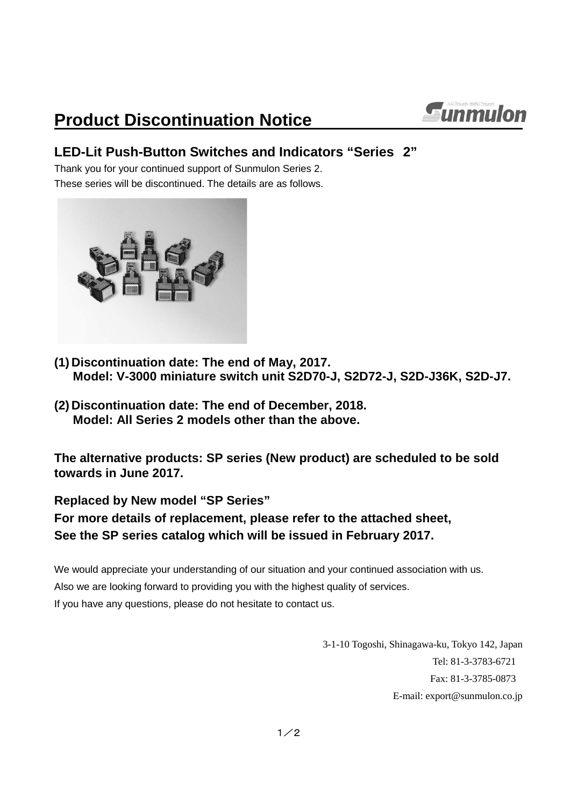# **Product Discontinuation Notice**



### **LED-Lit Push-Button Switches and Indicators "Series 2"**

Thank you for your continued support of Sunmulon Series 2. These series will be discontinued. The details are as follows.



- **(1) Discontinuation date: The end of May, 2017. Model: V-3000 miniature switch unit S2D70-J, S2D72-J, S2D-J36K, S2D-J7.**
- **(2) Discontinuation date: The end of December, 2018. Model: All Series 2 models other than the above.**

**The alternative products: SP series (New product) are scheduled to be sold towards in June 2017.**

**Replaced by New model "SP Series"**

### **For more details of replacement, please refer to the attached sheet, See the SP series catalog which will be issued in February 2017.**

We would appreciate your understanding of our situation and your continued association with us. Also we are looking forward to providing you with the highest quality of services. If you have any questions, please do not hesitate to contact us.

> 3-1-10 Togoshi, Shinagawa-ku, Tokyo 142, Japan Tel: 81-3-3783-6721 Fax: 81-3-3785-0873 E-mail: export@sunmulon.co.jp